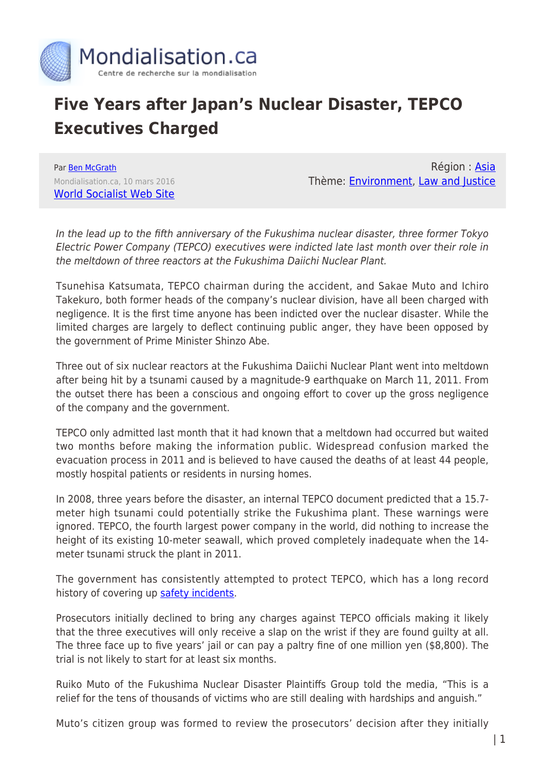

## **Five Years after Japan's Nuclear Disaster, TEPCO Executives Charged**

Par [Ben McGrath](https://www.mondialisation.ca/author/ben-mcgrath) Mondialisation.ca, 10 mars 2016 [World Socialist Web Site](http://www.wsws.org/en/articles/2016/03/10/fuku-m10.html)

Région : [Asia](https://www.mondialisation.ca/region/asia) Thème: [Environment,](https://www.mondialisation.ca/theme/environment) [Law and Justice](https://www.mondialisation.ca/theme/law-and-justice)

In the lead up to the fifth anniversary of the Fukushima nuclear disaster, three former Tokyo Electric Power Company (TEPCO) executives were indicted late last month over their role in the meltdown of three reactors at the Fukushima Daiichi Nuclear Plant.

Tsunehisa Katsumata, TEPCO chairman during the accident, and Sakae Muto and Ichiro Takekuro, both former heads of the company's nuclear division, have all been charged with negligence. It is the first time anyone has been indicted over the nuclear disaster. While the limited charges are largely to deflect continuing public anger, they have been opposed by the government of Prime Minister Shinzo Abe.

Three out of six nuclear reactors at the Fukushima Daiichi Nuclear Plant went into meltdown after being hit by a tsunami caused by a magnitude-9 earthquake on March 11, 2011. From the outset there has been a conscious and ongoing effort to cover up the gross negligence of the company and the government.

TEPCO only admitted last month that it had known that a meltdown had occurred but waited two months before making the information public. Widespread confusion marked the evacuation process in 2011 and is believed to have caused the deaths of at least 44 people, mostly hospital patients or residents in nursing homes.

In 2008, three years before the disaster, an internal TEPCO document predicted that a 15.7 meter high tsunami could potentially strike the Fukushima plant. These warnings were ignored. TEPCO, the fourth largest power company in the world, did nothing to increase the height of its existing 10-meter seawall, which proved completely inadequate when the 14 meter tsunami struck the plant in 2011.

The government has consistently attempted to protect TEPCO, which has a long record history of covering up [safety incidents.](https://www.wsws.org/en/articles/2011/03/tepc-m17.html)

Prosecutors initially declined to bring any charges against TEPCO officials making it likely that the three executives will only receive a slap on the wrist if they are found guilty at all. The three face up to five years' jail or can pay a paltry fine of one million yen (\$8,800). The trial is not likely to start for at least six months.

Ruiko Muto of the Fukushima Nuclear Disaster Plaintiffs Group told the media, "This is a relief for the tens of thousands of victims who are still dealing with hardships and anguish."

Muto's citizen group was formed to review the prosecutors' decision after they initially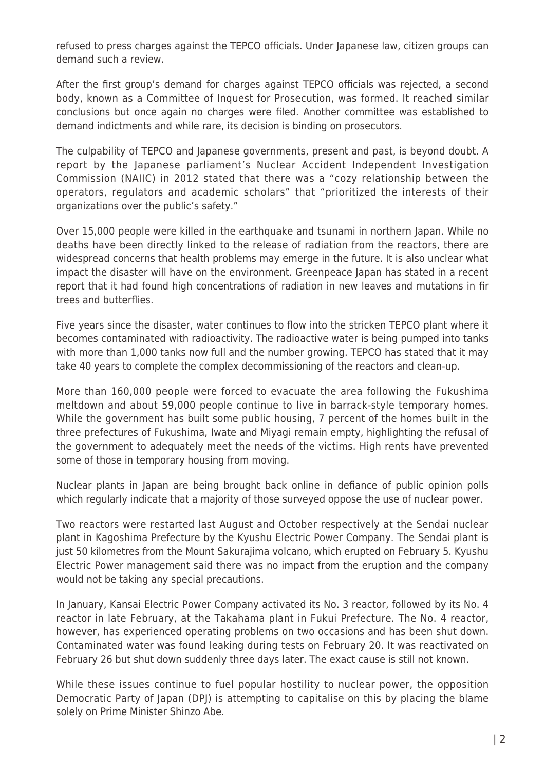refused to press charges against the TEPCO officials. Under Japanese law, citizen groups can demand such a review.

After the first group's demand for charges against TEPCO officials was rejected, a second body, known as a Committee of Inquest for Prosecution, was formed. It reached similar conclusions but once again no charges were filed. Another committee was established to demand indictments and while rare, its decision is binding on prosecutors.

The culpability of TEPCO and Japanese governments, present and past, is beyond doubt. A report by the Japanese parliament's Nuclear Accident Independent Investigation Commission (NAIIC) in 2012 stated that there was a "cozy relationship between the operators, regulators and academic scholars" that "prioritized the interests of their organizations over the public's safety."

Over 15,000 people were killed in the earthquake and tsunami in northern Japan. While no deaths have been directly linked to the release of radiation from the reactors, there are widespread concerns that health problems may emerge in the future. It is also unclear what impact the disaster will have on the environment. Greenpeace Japan has stated in a recent report that it had found high concentrations of radiation in new leaves and mutations in fir trees and butterflies.

Five years since the disaster, water continues to flow into the stricken TEPCO plant where it becomes contaminated with radioactivity. The radioactive water is being pumped into tanks with more than 1,000 tanks now full and the number growing. TEPCO has stated that it may take 40 years to complete the complex decommissioning of the reactors and clean-up.

More than 160,000 people were forced to evacuate the area following the Fukushima meltdown and about 59,000 people continue to live in barrack-style temporary homes. While the government has built some public housing, 7 percent of the homes built in the three prefectures of Fukushima, Iwate and Miyagi remain empty, highlighting the refusal of the government to adequately meet the needs of the victims. High rents have prevented some of those in temporary housing from moving.

Nuclear plants in Japan are being brought back online in defiance of public opinion polls which regularly indicate that a majority of those surveyed oppose the use of nuclear power.

Two reactors were restarted last August and October respectively at the Sendai nuclear plant in Kagoshima Prefecture by the Kyushu Electric Power Company. The Sendai plant is just 50 kilometres from the Mount Sakurajima volcano, which erupted on February 5. Kyushu Electric Power management said there was no impact from the eruption and the company would not be taking any special precautions.

In January, Kansai Electric Power Company activated its No. 3 reactor, followed by its No. 4 reactor in late February, at the Takahama plant in Fukui Prefecture. The No. 4 reactor, however, has experienced operating problems on two occasions and has been shut down. Contaminated water was found leaking during tests on February 20. It was reactivated on February 26 but shut down suddenly three days later. The exact cause is still not known.

While these issues continue to fuel popular hostility to nuclear power, the opposition Democratic Party of Japan (DPJ) is attempting to capitalise on this by placing the blame solely on Prime Minister Shinzo Abe.